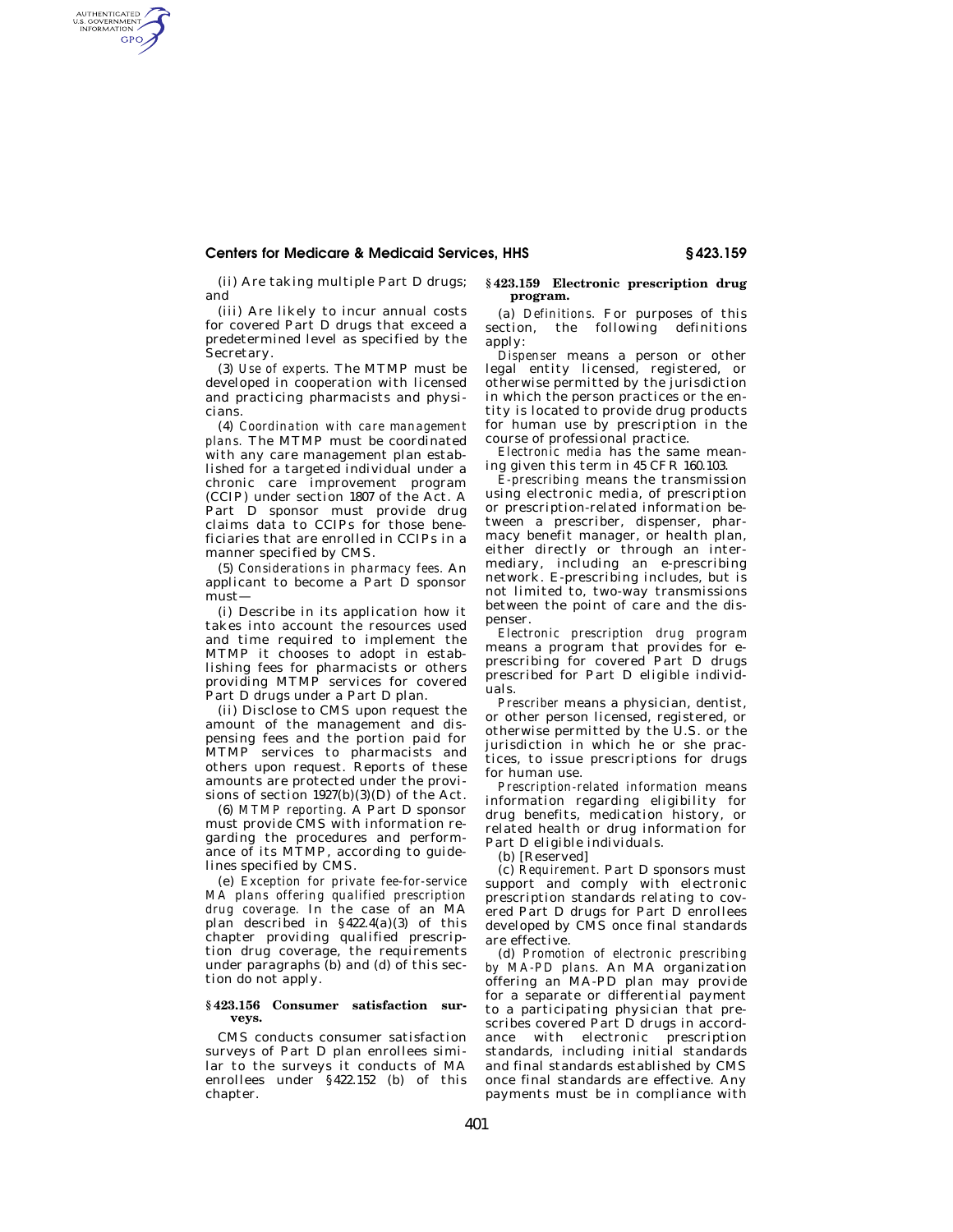## **Centers for Medicare & Medicaid Services, HHS § 423.159**

(ii) Are taking multiple Part D drugs; and

AUTHENTICATED<br>U.S. GOVERNMENT<br>INFORMATION **GPO** 

> (iii) Are likely to incur annual costs for covered Part D drugs that exceed a predetermined level as specified by the Secretary.

> (3) *Use of experts.* The MTMP must be developed in cooperation with licensed and practicing pharmacists and physicians.

> (4) *Coordination with care management plans.* The MTMP must be coordinated with any care management plan established for a targeted individual under a chronic care improvement program (CCIP) under section 1807 of the Act. A Part D sponsor must provide drug claims data to CCIPs for those beneficiaries that are enrolled in CCIPs in a manner specified by CMS.

> (5) *Considerations in pharmacy fees.* An applicant to become a Part D sponsor must—

> (i) Describe in its application how it takes into account the resources used and time required to implement the MTMP it chooses to adopt in establishing fees for pharmacists or others providing MTMP services for covered Part D drugs under a Part D plan.

> (ii) Disclose to CMS upon request the amount of the management and dispensing fees and the portion paid for MTMP services to pharmacists and others upon request. Reports of these amounts are protected under the provisions of section  $1927(b)(3)(D)$  of the Act.

> (6) *MTMP reporting.* A Part D sponsor must provide CMS with information regarding the procedures and performance of its MTMP, according to guidelines specified by CMS.

> (e) *Exception for private fee-for-service MA plans offering qualified prescription drug coverage.* In the case of an MA plan described in §422.4(a)(3) of this chapter providing qualified prescription drug coverage, the requirements under paragraphs (b) and (d) of this section do not apply.

## **§ 423.156 Consumer satisfaction surveys.**

CMS conducts consumer satisfaction surveys of Part D plan enrollees similar to the surveys it conducts of MA enrollees under §422.152 (b) of this chapter.

## **§ 423.159 Electronic prescription drug program.**

(a) *Definitions.* For purposes of this section, the following definitions apply:

*Dispenser* means a person or other legal entity licensed, registered, or otherwise permitted by the jurisdiction in which the person practices or the entity is located to provide drug products for human use by prescription in the course of professional practice.

*Electronic media* has the same meaning given this term in 45 CFR 160.103.

*E-prescribing* means the transmission using electronic media, of prescription or prescription-related information between a prescriber, dispenser, pharmacy benefit manager, or health plan, either directly or through an intermediary, including an e-prescribing network. E-prescribing includes, but is not limited to, two-way transmissions between the point of care and the dispenser.

*Electronic prescription drug program*  means a program that provides for eprescribing for covered Part D drugs prescribed for Part D eligible individuals.

*Prescriber* means a physician, dentist, or other person licensed, registered, or otherwise permitted by the U.S. or the jurisdiction in which he or she practices, to issue prescriptions for drugs for human use.

*Prescription-related information* means information regarding eligibility for drug benefits, medication history, or related health or drug information for Part D eligible individuals.

(b) [Reserved]

(c) *Requirement.* Part D sponsors must support and comply with electronic prescription standards relating to covered Part D drugs for Part D enrollees developed by CMS once final standards are effective.

(d) *Promotion of electronic prescribing by MA-PD plans.* An MA organization offering an MA-PD plan may provide for a separate or differential payment to a participating physician that prescribes covered Part D drugs in accordance with electronic prescription standards, including initial standards and final standards established by CMS once final standards are effective. Any payments must be in compliance with